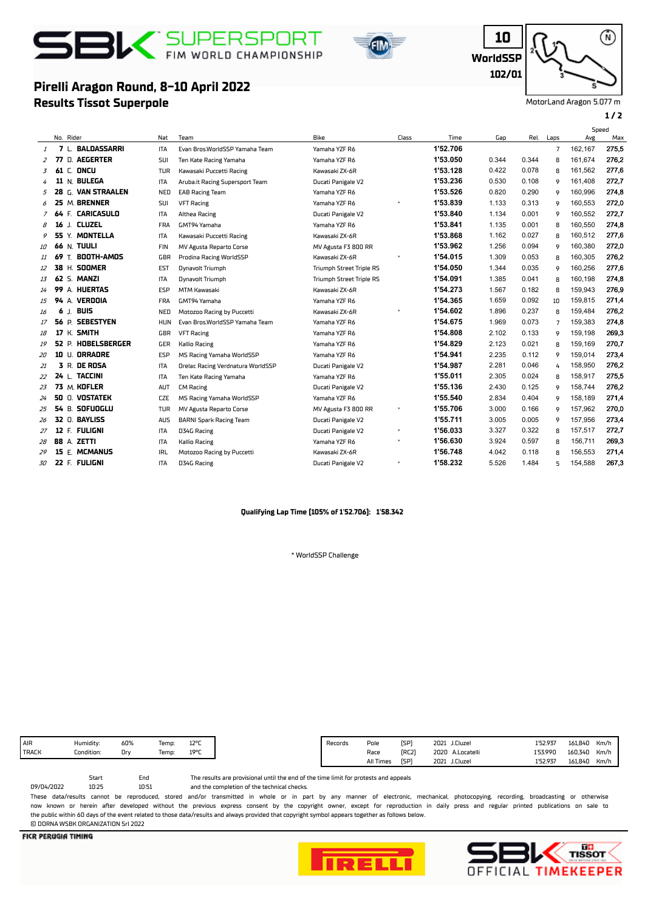

**Results Tissot Superpole**

**Pirelli Aragon Round, 8-10 April 2022**



**WorldSSP 10 102/01**

Ŵ)

MotorLand Aragon 5.077 m

### **1 / 2**

### No. Rider Nat Team Bike Gap Rel. Laps Avg Speed<br>Ave Class Time Gap Rel. Laps Avg Max <sup>1</sup> **7** L. **BALDASSARRI** ITA Evan Bros.WorldSSP Yamaha Team Yamaha YZF R6 **1'52.706** 7 162,167 275,5 <sup>2</sup> **77** D. **AEGERTER** SUI Ten Kate Racing Yamaha Yamaha YZF R6 **1'53.050** 0.344 0.344 8 161,674 276,2 <sup>3</sup> **61** C. **ONCU** TUR Kawasaki Puccetti Racing Kawasaki ZX-6R **1'53.128** 0.422 0.078 8 161,562 277,6 <sup>4</sup> **11** N. **BULEGA** ITA Aruba.it Racing Supersport Team Ducati Panigale V2 **1'53.236** 0.530 0.108 9 161,408 272,7 <sup>5</sup> **28** G. **VAN STRAALEN** NED EAB Racing Team Yamaha YZF R6 **1'53.526** 0.820 0.290 9 160,996 274,8 <sup>6</sup> **25** M. **BRENNER** SUI VFT Racing Yamaha YZF R6 \* **1'53.839** 1.133 0.313 9 160,553 272,0 <sup>7</sup> **64** F. **CARICASULO** ITA Althea Racing Ducati Panigale V2 **1'53.840** 1.134 0.001 9 160,552 272,7 <sup>8</sup> **16** J. **CLUZEL** FRA GMT94 Yamaha Yamaha YZF R6 **1'53.841** 1.135 0.001 8 160,550 274,8 <sup>9</sup> **55** Y. **MONTELLA** ITA Kawasaki Puccetti Racing Kawasaki ZX-6R **1'53.868** 1.162 0.027 8 160,512 277,6 <sup>10</sup> **66** N. **TUULI** FIN MV Agusta Reparto Corse MV Agusta F3 800 RR **1'53.962** 1.256 0.094 9 160,380 272,0 <sup>11</sup> **69** T. **BOOTH-AMOS** GBR Prodina Racing WorldSSP Kawasaki ZX-6R \* **1'54.015** 1.309 0.053 8 160,305 276,2 <sup>12</sup> **38** H. **SOOMER** EST Dynavolt Triumph Triumph Street Triple RS **1'54.050** 1.344 0.035 9 160,256 277,6 <sup>13</sup> **62** S. **MANZI** ITA Dynavolt Triumph Triumph Street Triple RS **1'54.091** 1.385 0.041 8 160,198 274,8 <sup>14</sup> **99** A. **HUERTAS** ESP MTM Kawasaki Kawasaki ZX-6R **1'54.273** 1.567 0.182 8 159,943 276,9 <sup>15</sup> **94** A. **VERDOIA** FRA GMT94 Yamaha Yamaha YZF R6 **1'54.365** 1.659 0.092 10 159,815 271,4 <sup>16</sup> **6** J. **BUIS** NED Motozoo Racing by Puccetti Kawasaki ZX-6R \* **1'54.602** 1.896 0.237 8 159,484 276,2 <sup>17</sup> **56** P. **SEBESTYEN** HUN Evan Bros.WorldSSP Yamaha Team Yamaha YZF R6 **1'54.675** 1.969 0.073 7 159,383 274,8 <sup>18</sup> **17** K. **SMITH** GBR VFT Racing Yamaha YZF R6 **1'54.808** 2.102 0.133 9 159,198 269,3 <sup>19</sup> **52** P. **HOBELSBERGER** GER Kallio Racing Yamaha YZF R6 **1'54.829** 2.123 0.021 8 159,169 270,7 <sup>20</sup> **10** U. **ORRADRE** ESP MS Racing Yamaha WorldSSP Yamaha YZF R6 **1'54.941** 2.235 0.112 9 159,014 273,4 <sup>21</sup> **3** R. **DE ROSA** ITA Orelac Racing Verdnatura WorldSSP Ducati Panigale V2 **1'54.987** 2.281 0.046 4 158,950 276,2 <sup>22</sup> **24** L. **TACCINI** ITA Ten Kate Racing Yamaha Yamaha YZF R6 **1'55.011** 2.305 0.024 8 158,917 275,5 <sup>23</sup> **73** M. **KOFLER** AUT CM Racing Ducati Panigale V2 **1'55.136** 2.430 0.125 9 158,744 276,2 <sup>24</sup> **50** O. **VOSTATEK** CZE MS Racing Yamaha WorldSSP Yamaha YZF R6 **1'55.540** 2.834 0.404 9 158,189 271,4 <sup>25</sup> **54** B. **SOFUOGLU** TUR MV Agusta Reparto Corse MV Agusta F3 800 RR \* **1'55.706** 3.000 0.166 9 157,962 270,0 <sup>26</sup> **32** O. **BAYLISS** AUS BARNI Spark Racing Team Ducati Panigale V2 **1'55.711** 3.005 0.005 9 157,956 273,4 <sup>27</sup> **12** F. **FULIGNI** ITA D34G Racing Ducati Panigale V2 \* **1'56.033** 3.327 0.322 8 157,517 272,7 <sup>28</sup> **88** A. **ZETTI** ITA Kallio Racing Yamaha YZF R6 \* **1'56.630** 3.924 0.597 8 156,711 269,3 <sup>29</sup> **15** E. **MCMANUS** IRL Motozoo Racing by Puccetti Kawasaki ZX-6R **1'56.748** 4.042 0.118 8 156,553 271,4 <sup>30</sup> **22** F. **FULIGNI** ITA D34G Racing Ducati Panigale V2 \* **1'58.232** 5.526 1.484 5 154,588 267,3

### **Qualifying Lap Time (105% of 1'52.706): 1'58.342**

\* WorldSSP Challenge

| $12^{\circ r}$<br>Humidity:<br>60%<br>Temp: | Records | Pole      | [SP]        | 2021 | J.Cluzel           | 1'52.937 | 161.840<br>Km/h |
|---------------------------------------------|---------|-----------|-------------|------|--------------------|----------|-----------------|
| 19°F<br>Condition:<br>Drv<br>Temp:          |         | Race      | <b>FRC2</b> |      | 2020<br>A.Locatell | 1'53.990 | 160.340<br>Km/h |
|                                             |         | All Times | [SP]        | 2021 | J.Cluzel           | 1'52.937 | 161.840<br>Km/h |

10:51 Start End<br>10:25 10:5

and the completion of the technical checks. The results are provisional until the end of the time limit for protests and appeals

These data/results cannot be reproduced, stored and/or transmitted in whole or in part by any manner of electronic, mechanical, photocopying, recording, broadcasting or otherwise now known or herein after developed without the previous express consent by the copyright owner, except for reproduction in daily press and regular printed publications on sale to the public within 60 days of the event related to those data/results and always provided that copyright symbol appears together as follows below. © DORNA WSBK ORGANIZATION Srl 2022

**FICR PERUGIA TIMING** 

09/04/2022